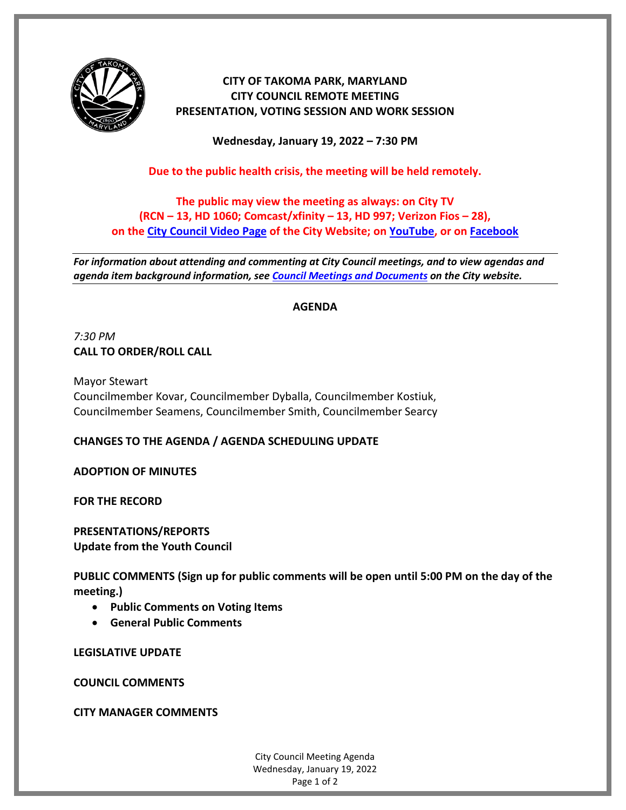

# **CITY OF TAKOMA PARK, MARYLAND CITY COUNCIL REMOTE MEETING PRESENTATION, VOTING SESSION AND WORK SESSION**

**Wednesday, January 19, 2022 – 7:30 PM**

**Due to the public health crisis, the meeting will be held remotely.**

**The public may view the meeting as always: on City TV (RCN – 13, HD 1060; Comcast/xfinity – 13, HD 997; Verizon Fios – 28), on the [City Council Video Page](https://takomaparkmd.gov/government/city-council/meetings-and-documents/city-council-video/) of the City Website; on [YouTube,](https://www.youtube.com/user/TakomaParkTV) or o[n Facebook](https://www.facebook.com/TakomaParkTV)**

*For information about attending and commenting at City Council meetings, and to view agendas and agenda item background information, see [Council Meetings and Documents](https://takomaparkmd.gov/government/city-council/meetings-and-documents/) on the City website.*

## **AGENDA**

*7:30 PM* **CALL TO ORDER/ROLL CALL**

Mayor Stewart Councilmember Kovar, Councilmember Dyballa, Councilmember Kostiuk, Councilmember Seamens, Councilmember Smith, Councilmember Searcy

# **CHANGES TO THE AGENDA / AGENDA SCHEDULING UPDATE**

**ADOPTION OF MINUTES**

**FOR THE RECORD**

**PRESENTATIONS/REPORTS Update from the Youth Council**

**PUBLIC COMMENTS (Sign up for public comments will be open until 5:00 PM on the day of the meeting.)**

- **Public Comments on Voting Items**
- **General Public Comments**

**LEGISLATIVE UPDATE**

**COUNCIL COMMENTS**

**CITY MANAGER COMMENTS**

City Council Meeting Agenda Wednesday, January 19, 2022 Page 1 of 2